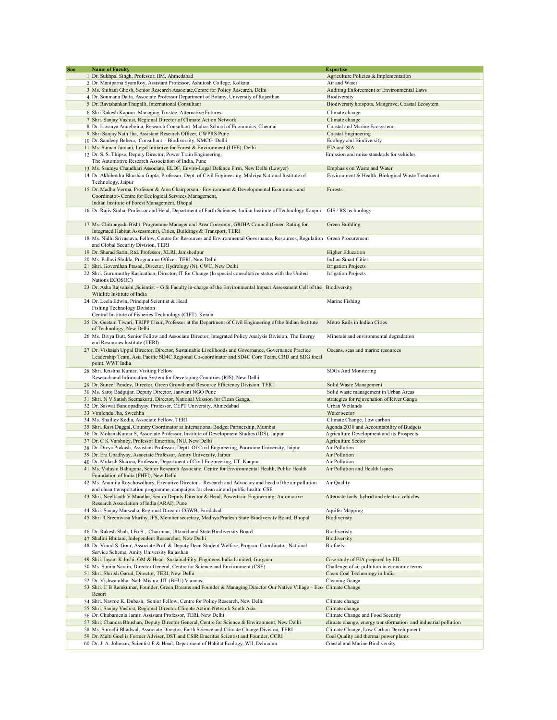| Sno | <b>Name of Faculty</b>                                                                                                                                                     | <b>Expertise</b>                                                |
|-----|----------------------------------------------------------------------------------------------------------------------------------------------------------------------------|-----------------------------------------------------------------|
|     | 1 Dr. Sukhpal Singh, Professor, IIM, Ahmedabad                                                                                                                             | Agriculture Policies & Implementation                           |
|     | 2 Dr. Maniparna SyamRoy, Assistant Professor, Ashutosh College, Kolkata                                                                                                    | Air and Water                                                   |
|     | 3 Ms. Shibani Ghosh, Senior Research Associate, Centre for Policy Research, Delhi                                                                                          | Auditing Enforcement of Environmental Laws                      |
|     | 4 Dr. Soumana Datta, Associate Professor Department of Botany, University of Rajasthan                                                                                     | Biodiversity                                                    |
|     | 5 Dr. Ravishankar Thupalli, International Consultant                                                                                                                       | Biodiversity hotspots, Mangrove, Coastal Ecosytem               |
|     | 6 Shri Rakesh Kapoor, Managing Trustee, Alternative Futures                                                                                                                | Climate change                                                  |
|     | 7 Shri. Sanjay Vashist, Regional Director of Climate Action Network                                                                                                        | Climate change                                                  |
|     | 8 Dr. Lavanya Anneboina, Research Consultant, Madras School of Economics, Chennai                                                                                          | Coastal and Marine Ecosystems                                   |
|     | 9 Shri Sanjay Nath Jha, Assistant Research Officer, CWPRS Pune                                                                                                             | Coastal Engineering                                             |
|     | 10 Dr. Sandeep Behera, Consultant - Biodiversity, NMCG Delhi                                                                                                               | Ecology and Biodiversity                                        |
|     | 11 Ms. Suman Jumani, Legal Initiative for Forest & Environment (LIFE), Delhi                                                                                               | EIA and SIA                                                     |
|     | 12 Dr. S. S. Thipse, Deputy Director, Power Train Engineering,                                                                                                             | Emission and noise standards for vehicles                       |
|     | The Automotive Research Association of India, Pune<br>13 Ms. Saumya Chaudhari Associate, ELDF, Enviro-Legal Defence Firm, New Delhi (Lawyer)                               | Emphasis on Waste and Water                                     |
|     | 14 Dr. Akhilendra Bhushan Gupta, Professor, Dept. of Civil Engineering, Malviya National Institute of                                                                      | Environment & Health, Biological Waste Treatment                |
|     | Technology, Jaipur                                                                                                                                                         |                                                                 |
|     | 15 Dr. Madhu Verma, Professor & Area Chairperson - Environment & Developmental Economics and                                                                               | Forests                                                         |
|     | Coordinator- Centre for Ecological Services Management,                                                                                                                    |                                                                 |
|     | Indian Institute of Forest Management, Bhopal                                                                                                                              |                                                                 |
|     | 16 Dr. Rajiv Sinha, Professor and Head, Department of Earth Sciences, Indian Institute of Technology Kanpur                                                                | GIS / RS technology                                             |
|     |                                                                                                                                                                            |                                                                 |
|     | 17 Ms. Chitrangada Bisht, Programme Manager and Area Convenor, GRIHA Council (Green Rating for                                                                             | Green Building                                                  |
|     | Integrated Habitat Assessment), Cities, Buildings & Transport, TERI                                                                                                        |                                                                 |
|     | 18 Ms. Nidhi Srivastava, Fellow, Centre for Resources and Environmental Governance, Resources, Regulation                                                                  | Green Procurement                                               |
|     | and Global Security Division, TERI                                                                                                                                         |                                                                 |
|     | 19 Dr. Sharad Sarin, Rtd. Professor, XLRI, Jamshedpur                                                                                                                      | <b>Higher Education</b>                                         |
|     | 20 Ms. Pallavi Shukla, Programme Officer, TERI, New Delhi                                                                                                                  | <b>Indian Smart Cities</b>                                      |
|     | 21 Shri. Goverdhan Prasad, Director, Hydrology (N), CWC, New Delhi                                                                                                         | <b>Irrigation Projects</b><br><b>Irrigation Projects</b>        |
|     | 22 Shri. Gurumurthy Kasinathan, Director, IT for Change (In special consultative status with the United<br>Nations ECOSOC)                                                 |                                                                 |
|     | 23 Dr. Asha Rajvanshi ,Scientist – G & Faculty in-charge of the Environmental Impact Assessment Cell of the Biodiversity                                                   |                                                                 |
|     | Wildlife Institute of India                                                                                                                                                |                                                                 |
|     | 24 Dr. Leela Edwin, Principal Scientist & Head                                                                                                                             | Marine Fishing                                                  |
|     | Fishing Technology Division                                                                                                                                                |                                                                 |
|     | Central Institute of Fisheries Technology (CIFT), Kerala                                                                                                                   |                                                                 |
|     | 25 Dr. Geetam Tiwari, TRIPP Chair, Professor at the Department of Civil Engineering of the Indian Institute                                                                | Metro Rails in Indian Cities                                    |
|     | of Technology, New Delhi                                                                                                                                                   |                                                                 |
|     | 26 Ms. Divya Dutt, Senior Fellow and Associate Director, Integrated Policy Analysis Division, The Energy<br>and Resources Institute (TERI)                                 | Minerals and environmental degradation                          |
|     | 27 Dr. Vishaish Uppal Director, Director, Sustainable Livelihoods and Governance, Governance Practice                                                                      | Oceans, seas and marine resources                               |
|     | Leadership Team, Asia Pacific SD4C Regional Co-coordinator and SD4C Core Team, CBD and SDG focal                                                                           |                                                                 |
|     | point, WWF India                                                                                                                                                           |                                                                 |
|     | 28 Shri. Krishna Kumar, Visiting Fellow                                                                                                                                    | SDGs And Monitoring                                             |
|     | Research and Information System for Developing Countries (RIS), New Delhi                                                                                                  |                                                                 |
|     | 29 Dr. Suneel Pandey, Director, Green Growth and Resource Efficiency Division, TERI                                                                                        | Solid Waste Management                                          |
|     | 30 Ms. Saroj Badgujar, Deputy Director, Janwani NGO Pune                                                                                                                   | Solid waste management in Urban Areas                           |
|     | 31 Shri. N V Satish Seemakurti, Director, National Mission for Clean Ganga,                                                                                                | strategies for rejuvenation of River Ganga                      |
|     | 32 Dr. Saswat Bandopadhyay, Professor, CEPT University, Ahmedabad                                                                                                          | Urban Wetlands                                                  |
|     | 33 Vimlendu Jha, Swechha                                                                                                                                                   | Water sector                                                    |
|     | 34 Ms. Shailley Kedia, Associate Fellow, TERI                                                                                                                              | Climate Change, Low carbon                                      |
|     | 35 Shri. Ravi Duggal, Country Coordinator at International Budget Partnership, Mumbai                                                                                      | Agenda 2030 and Accountability of Budgets                       |
|     | 36 Dr. MohanaKumar S, Associate Professor, Institute of Development Studies (IDS), Jaipur<br>37 Dr. C K Varshney, Professor Emeritus, JNU, New Delhi                       | Agriculture Development and its Prospects<br>Agriculture Sector |
|     | 38 Dr. Divya Prakash, Assistant Professor, Deptt. Of Civil Engineering, Poornima University, Jaipur                                                                        | Air Pollution                                                   |
|     | 39 Dr. Era Upadhyay, Associate Professor, Amity University, Jaipur                                                                                                         | Air Pollution                                                   |
|     | 40 Dr. Mukesh Sharma, Professor, Department of Civil Engineering, IIT, Kanpur                                                                                              | Air Pollution                                                   |
|     | 41 Ms. Vidushi Bahuguna, Senior Research Associate, Centre for Environmental Health, Public Health                                                                         | Air Pollution and Health Issues                                 |
|     | Foundation of India (PHFI), New Delhi                                                                                                                                      |                                                                 |
|     | 42 Ms. Anumita Roychowdhury, Executive Director - Research and Advocacy and head of the air pollution                                                                      | Air Quality                                                     |
|     | and clean transportation programme, campaigns for clean air and public health, CSE                                                                                         |                                                                 |
|     | 43 Shri. Neelkanth V Marathe, Senior Deputy Director & Head, Powertrain Engineering, Automotive                                                                            | Alternate fuels, hybrid and electric vehicles                   |
|     | Research Association of India (ARAI), Pune                                                                                                                                 |                                                                 |
|     | 44 Shri. Sanjay Marwaha, Regional Director CGWB, Faridabad<br>45 Shri R Sreenivasa Murthy, IFS, Member secretary, Madhya Pradesh State Biodiversity Board, Bhopal          | <b>Aquifer Mapping</b><br>Biodiveristy                          |
|     |                                                                                                                                                                            |                                                                 |
|     | 46 Dr. Rakesh Shah, I.Fo.S., Chairman, Uttarakhand State Biodiversity Board                                                                                                | Biodiveristy                                                    |
|     | 47 Shalini Bhutani, Independent Researcher, New Delhi                                                                                                                      | Biodiversity                                                    |
|     | 48 Dr. Vinod S. Gour, Associate Prof. & Deputy Dean Student Welfare, Program Coordinator, National                                                                         | <b>Biofuels</b>                                                 |
|     | Service Scheme, Amity University Rajasthan                                                                                                                                 |                                                                 |
|     | 49 Shri. Jayant K Joshi, GM & Head -Sustainability, Engineers India Limited, Gurgaon                                                                                       | Case study of EIA prepared by EIL                               |
|     | 50 Ms. Sunita Narain, Director General, Centre for Science and Environment (CSE)                                                                                           | Challenge of air pollution in economic terms                    |
|     | 51 Shri. Shirish Garud, Director, TERI, New Delhi                                                                                                                          | Clean Coal Technology in India                                  |
|     | 52 Dr. Vishwambhar Nath Mishra, IIT (BHU) Varanasi<br>53 Shri. C B Ramkumar, Founder, Green Dreams and Founder & Managing Director Our Native Village - Eco Climate Change | Cleaning Ganga                                                  |
|     | Resort                                                                                                                                                                     |                                                                 |
|     | 54 Shri. Navroz K. Dubash, Senior Fellow, Centre for Policy Research, New Delhi                                                                                            | Climate change                                                  |
|     | 55 Shri. Sanjay Vashist, Regional Director Climate Action Network South Asia                                                                                               | Climate change                                                  |
|     | 56 Dr. Chubamenla Jamir, Assistant Professor, TERI, New Delhi                                                                                                              | Climate Change and Food Security                                |
|     | 57 Shri. Chandra Bhushan, Deputy Director General, Centre for Science & Environment, New Delhi                                                                             | climate change, energy transformation and industrial pollution  |
|     | 58 Ms. Suruchi Bhadwal, Associate Director, Earth Science and Climate Change Division, TERI                                                                                | Climate Change, Low Carbon Development                          |
|     | 59 Dr. Malti Goel is Former Adviser, DST and CSIR Emeritus Scientist and Founder, CCRI                                                                                     | Coal Quality and thermal power plants                           |
|     | 60 Dr. J. A. Johnson, Scientist E & Head, Department of Habitat Ecology, WII, Dehradun                                                                                     | Coastal and Marine Biodiversity                                 |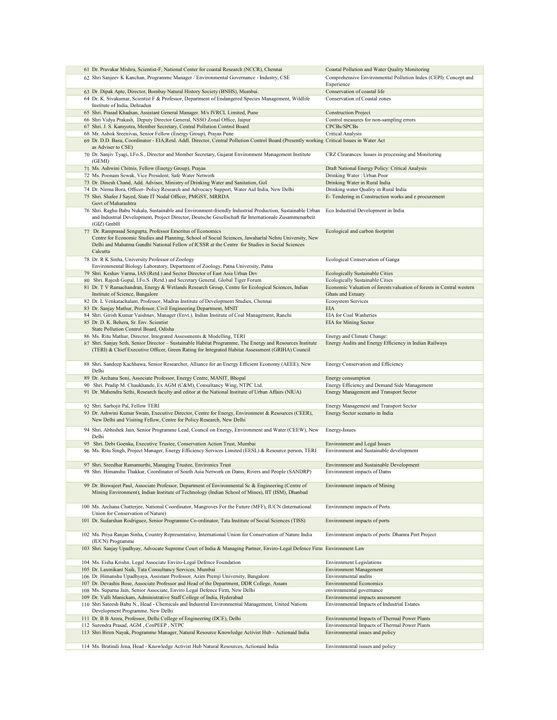|  | 61 Dr. Pravakar Mishra, Scientist-F, National Center for coastal Research (NCCR), Chennai                                                                                                                                                                                         | Coastal Pollution and Water Quality Monitoring                                  |
|--|-----------------------------------------------------------------------------------------------------------------------------------------------------------------------------------------------------------------------------------------------------------------------------------|---------------------------------------------------------------------------------|
|  | 62 Shri Sanjeev K Kanchan, Programme Manager / Environmental Governance - Industry, CSE                                                                                                                                                                                           | Comprehensive Environmental Pollution Index (CEPI): Concept and<br>Experience   |
|  | 63 Dr. Dipak Apte, Director, Bombay Natural History Society (BNHS), Mumbai.                                                                                                                                                                                                       | Conservation of coastal life                                                    |
|  | 64 Dr. K. Sivakumar, Scientist F & Professor, Department of Endangered Species Management, Wildlife                                                                                                                                                                               | Conservation of Coastal zones                                                   |
|  | Institute of India, Dehradun<br>65 Shri. Prasad Khadsan, Assistant General Manager. M/s IVRCL Limited, Pune                                                                                                                                                                       |                                                                                 |
|  | 66 Shri Vidya Prakash, Deputy Director General, NSSO Zonal Office, Jaipur                                                                                                                                                                                                         | <b>Construction Project</b><br>Control measures for non-sampling errors         |
|  | 67 Shri. J. S. Kamyotra, Member Secretary, Central Pollution Control Board                                                                                                                                                                                                        | CPCBs/SPCBs                                                                     |
|  | 68 Mr. Ashok Sreenivas, Senior Fellow (Energy Group), Prayas Pune                                                                                                                                                                                                                 | Critical Analysis                                                               |
|  | 69 Dr. D.D. Basu, Coordinator - EIA, Retd. Addl. Director, Central Pollution Control Board (Presently working Critical Issues in Water Act<br>as Adviser to CSE)                                                                                                                  |                                                                                 |
|  | 70 Dr. Sanjiv Tyagi, I.Fo.S., Director and Member Secretary, Gujarat Environment Management Institute<br>(GEMI)                                                                                                                                                                   | CRZ Clearances: Issues in processing and Monitoring                             |
|  | 71 Ms. Ashwini Chitnis, Fellow (Energy Group), Prayas                                                                                                                                                                                                                             | Draft National Energy Policy: Critical Analysis                                 |
|  | 72 Ms. Poonam Sewak, Vice President, Safe Water Network                                                                                                                                                                                                                           | Drinking Water: Urban Poor                                                      |
|  | 73 Dr. Dinesh Chand, Add. Advisor, Ministry of Drinking Water and Sanitation, GoI                                                                                                                                                                                                 | Drinking Water in Rural India                                                   |
|  | 74 Dr. Nirma Bora, Officer- Policy Research and Advocacy Support, Water Aid India, New Delhi                                                                                                                                                                                      | Drinking water Quality in Rural India                                           |
|  | 75 Shri. Shafee J Sayed, State IT Nodal Officer, PMGSY, MRRDA<br>Govt of Maharashtra                                                                                                                                                                                              | E-Tendering in Construction works and e procurement                             |
|  | 76 Shri. Raghu Babu Nukala, Sustainable and Environment-friendly Industrial Production, Sustainable Urban<br>and Industrial Development, Project Director, Deutsche Gesellschaft für Internationale Zusammenarbeit<br>$(GIZ)$ GmbH                                                | Eco Industrial Development in India                                             |
|  | 77 Dr. Ramprasad Sengupta, Professor Emeritus of Economics<br>Centre for Economic Studies and Planning, School of Social Sciences, Jawaharlal Nehru University, New<br>Delhi and Mahatma Gandhi National Fellow of ICSSR at the Centre for Studies in Social Sciences<br>Calcutta | Ecological and carbon footprint                                                 |
|  | 78 Dr. R K Sinha, University Professor of Zoology<br>Environmental Biology Laboratory, Department of Zoology, Patna University, Patna                                                                                                                                             | Ecological Conservation of Ganga                                                |
|  | 79 Shri. Keshav Varma, IAS (Retd.) and Sector Director of East Asia Urban Dev                                                                                                                                                                                                     | <b>Ecologically Sustainable Cities</b>                                          |
|  | 80 Shri. Rajesh Gopal, I.Fo.S. (Retd.) and Secretary General, Global Tiger Forum                                                                                                                                                                                                  | Ecologically Sustainable Cities                                                 |
|  | 81 Dr. T V Ramachandran, Energy & Wetlands Research Group, Centre for Ecological Sciences, Indian                                                                                                                                                                                 | Economic Valuation of forests:valuation of forests in Central western           |
|  | Institute of Science, Bangalore                                                                                                                                                                                                                                                   | Ghats and Estuary                                                               |
|  | 82 Dr. L Venkatachalam, Professor, Madras Institute of Development Studies, Chennai                                                                                                                                                                                               | <b>Ecosystem Services</b>                                                       |
|  | 83 Dr. Sanjay Mathur, Professor, Civil Engineering Department, MNIT                                                                                                                                                                                                               | <b>EIA</b>                                                                      |
|  | 84 Shri. Girish Kumar Vaishnav, Manager (Envt.), Indian Institute of Coal Management, Ranchi                                                                                                                                                                                      | EIA for Coal Washeries                                                          |
|  | 85 Dr. D. K. Behera, Sr. Env. Scientist<br>State Pollution Control Board, Odisha                                                                                                                                                                                                  | <b>EIA</b> for Mining Sector                                                    |
|  | 86 Ms. Ritu Mathur, Director, Integrated Assessments & Modelling, TERI                                                                                                                                                                                                            | Energy and Climate Change:                                                      |
|  | 87 Shri. Sanjay Seth, Senior Director - Sustainable Habitat Programme, The Energy and Resources Institute                                                                                                                                                                         | Energy Audits and Energy Efficiency in Indian Railways                          |
|  | (TERI) & Chief Executive Officer, Green Rating for Integrated Habitat Assessment (GRIHA) Council                                                                                                                                                                                  |                                                                                 |
|  | 88 Shri. Sandeep Kachhawa, Senior Researcher, Alliance for an Energy Efficient Economy (AEEE), New                                                                                                                                                                                | Energy Conservation and Efficiency                                              |
|  | Delhi                                                                                                                                                                                                                                                                             |                                                                                 |
|  | 89 Dr. Archana Soni, Associate Professor, Energy Centre, MANIT, Bhopal<br>90 Shri. Pradip M. Chaukhande, Ex AGM (C&M), Consultancy Wing, NTPC Ltd.                                                                                                                                | Energy consumption<br>Energy Efficiency and Demand Side Management              |
|  | 91 Dr. Mahendra Sethi, Research faculty and editor at the National Institute of Urban Affairs (NIUA)                                                                                                                                                                              | Energy Management and Transport Sector                                          |
|  |                                                                                                                                                                                                                                                                                   |                                                                                 |
|  | 92 Shri. Sarbojit Pal, Fellow TERI                                                                                                                                                                                                                                                | Energy Management and Transport Sector                                          |
|  | 93 Dr. Ashwini Kumar Swain, Executive Director, Centre for Energy, Environment & Resources (CEER),<br>New Delhi and Visiting Fellow, Centre for Policy Research, New Delhi                                                                                                        | Energy Sector scenario in India                                                 |
|  | 94 Shri. Abhishek Jain, Senior Programme Lead, Council on Energy, Environment and Water (CEEW), New<br>Delhi                                                                                                                                                                      | Energy-Issues                                                                   |
|  | 95 Shri. Debi Goenka, Executive Trustee, Conservation Action Trust, Mumbai                                                                                                                                                                                                        | <b>Environment and Legal Issues</b>                                             |
|  | 96 Ms. Ritu Singh, Project Manager, Energy Efficiency Services Limited (EESL) & Resource person, TERI                                                                                                                                                                             | Environment and Sustainable development                                         |
|  |                                                                                                                                                                                                                                                                                   |                                                                                 |
|  | 97 Shri. Sreedhar Ramamurthi, Managing Trustee, Environics Trust                                                                                                                                                                                                                  | Environment and Sustainable Development                                         |
|  | 98 Shri. Himanshu Thakkar, Coordinator of South Asia Network on Dams, Rivers and People (SANDRP)                                                                                                                                                                                  | Environment impacts of Dams                                                     |
|  | 99 Dr. Biswajeet Paul, Associate Professor, Department of Environmental Sc & Engineering (Centre of<br>Mining Environment), Indian Institute of Technology (Indian School of Mines), IIT (ISM), Dhanbad                                                                           | Environment impacts of Mining                                                   |
|  | 100 Ms. Archana Chatterjee, National Coordinator, Mangroves For the Future (MFF), IUCN (International<br>Union for Conservation of Nature)                                                                                                                                        | Environment impacts of Ports                                                    |
|  | 101 Dr. Sudarshan Rodriguez, Senior Programme Co-ordinator, Tata Institute of Social Sciences (TISS)                                                                                                                                                                              | Environment impacts of ports                                                    |
|  | 102 Ms. Priya Ranjan Sinha, Country Representative, International Union for Conservation of Nature India<br>(IUCN) Programme                                                                                                                                                      | Environment impacts of ports: Dhamra Port Project                               |
|  | 103 Shri. Sanjay Upadhyay, Advocate Supreme Court of India & Managing Partner, Enviro-Legal Defence Firm Environment Law                                                                                                                                                          |                                                                                 |
|  | 104 Ms. Eisha Krishn, Legal Associate Enviro-Legal Defence Foundation                                                                                                                                                                                                             | <b>Environment Legislations</b>                                                 |
|  | 105 Dr. Laxmikant Naik, Tata Consultancy Services, Mumbai                                                                                                                                                                                                                         | <b>Environment Management</b>                                                   |
|  | 106 Dr. Himanshu Upadhyaya, Assistant Professor, Azim Premji University, Bangalore                                                                                                                                                                                                | Environmental audits                                                            |
|  | 107 Dr. Devashis Bose, Associate Professor and Head of the Department, DDR College, Assam                                                                                                                                                                                         | <b>Environmental Economics</b>                                                  |
|  | 108 Ms. Suparna Jain, Senior Associate, Enviro Legal Defence Firm, New Delhi                                                                                                                                                                                                      | environmental governance                                                        |
|  | 109 Dr. Valli Manickam, Administrative Staff College of India, Hyderabad<br>110 Shri Sateesh Babu N., Head - Chemicals and Industrial Environmental Management, United Nations                                                                                                    | Environmental impacts assessment<br>Environmental Impacts of Industrial Estates |
|  | Development Programme, New Delhi                                                                                                                                                                                                                                                  |                                                                                 |
|  | 111 Dr. B B Arora, Professor, Delhi College of Engineering (DCE), Delhi                                                                                                                                                                                                           | Environmental Impacts of Thermal Power Plants                                   |
|  | 112 Surendra Prasad, AGM, CenPEEP, NTPC                                                                                                                                                                                                                                           | Environmental Impacts of Thermal Power Plants                                   |
|  | 113 Shri Biren Nayak, Programme Manager, Natural Resource Knowledge Activist Hub - Actionaid India                                                                                                                                                                                | Environmental issues and policy                                                 |
|  | 114 Ms. Bratindi Jena, Head - Knowledge Activist Hub Natural Resources, Actionaid India                                                                                                                                                                                           | Environmental issues and policy                                                 |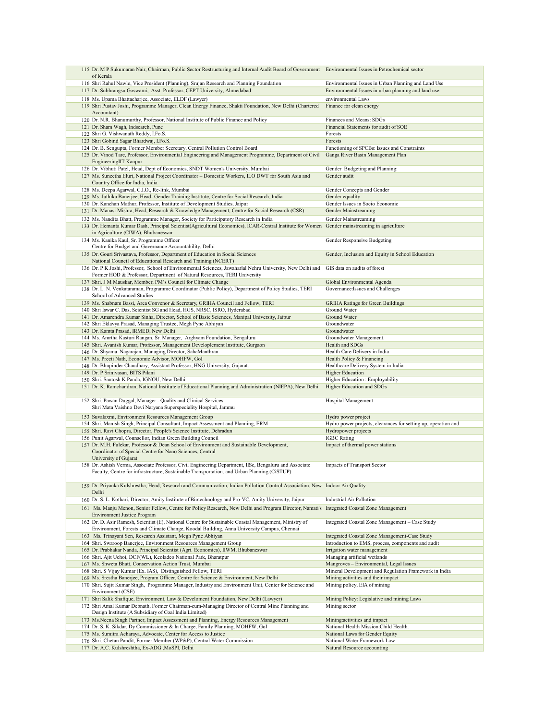|  | 115 Dr. M P Sukumaran Nair, Chairman, Public Sector Restructuring and Internal Audit Board of Government Environmental Issues in Petrochemical sector                                                 |                                                                                                            |
|--|-------------------------------------------------------------------------------------------------------------------------------------------------------------------------------------------------------|------------------------------------------------------------------------------------------------------------|
|  | of Kerala<br>116 Shri Rahul Nawle, Vice President (Planning), Srujan Research and Planning Foundation                                                                                                 |                                                                                                            |
|  | 117 Dr. Subhrangsu Goswami, Asst. Professor, CEPT University, Ahmedabad                                                                                                                               | Environmental Issues in Urban Planning and Land Use<br>Environmental Issues in urban planning and land use |
|  | 118 Ms. Upama Bhattacharjee, Associate, ELDF (Lawyer)                                                                                                                                                 | environmental Laws                                                                                         |
|  | 119 Shri Pustav Joshi, Programme Manager, Clean Energy Finance, Shakti Foundation, New Delhi (Chartered                                                                                               | Finance for clean energy                                                                                   |
|  | Accountant)                                                                                                                                                                                           |                                                                                                            |
|  | 120 Dr. N.R. Bhanumurthy, Professor, National Institute of Public Finance and Policy                                                                                                                  | Finances and Means: SDGs                                                                                   |
|  | 121 Dr. Sham Wagh, Indsearch, Pune                                                                                                                                                                    | Financial Statements for audit of SOE                                                                      |
|  | 122 Shri G. Vishwanath Reddy, I.Fo.S.                                                                                                                                                                 | Forests                                                                                                    |
|  | 123 Shri Gobind Sagar Bhardwaj, I.Fo.S.                                                                                                                                                               | Forests                                                                                                    |
|  | 124 Dr. B. Sengupta, Former Member Secretary, Central Pollution Control Board                                                                                                                         | Functioning of SPCBs: Issues and Constraints                                                               |
|  | 125 Dr. Vinod Tare, Professor, Environmental Engineering and Management Programme, Department of Civil<br>EngineeringIIT Kanpur                                                                       | Ganga River Basin Management Plan                                                                          |
|  | 126 Dr. Vibhuti Patel, Head, Dept of Economics, SNDT Women's University, Mumbai                                                                                                                       | Gender Budgeting and Planning:                                                                             |
|  | 127 Ms. Suneetha Eluri, National Project Coordinator - Domestic Workers, ILO DWT for South Asia and                                                                                                   | Gender audit                                                                                               |
|  | Country Office for India, India                                                                                                                                                                       |                                                                                                            |
|  | 128 Ms. Deepa Agarwal, C.I.O., Re-link, Mumbai                                                                                                                                                        | Gender Concepts and Gender                                                                                 |
|  | 129 Ms. Juthika Banerjee, Head- Gender Training Institute, Centre for Social Research, India                                                                                                          | Gender equality                                                                                            |
|  | 130 Dr. Kanchan Mathur, Professor, Institute of Development Studies, Jaipur                                                                                                                           | Gender Issues in Socio Economic                                                                            |
|  | 131 Dr. Manasi Mishra, Head, Research & Knowledge Management, Centre for Social Research (CSR)                                                                                                        | Gender Mainstreaming                                                                                       |
|  | 132 Ms. Nandita Bhatt, Programme Manager, Society for Participatory Research in India                                                                                                                 | Gender Mainstreaming                                                                                       |
|  | 133 Dr. Hemanta Kumar Dash, Principal Scientist(Agricultural Economics), ICAR-Central Institute for Women<br>in Agriculture (CIWA), Bhubaneswar                                                       | Gender mainstreaming in agriculture                                                                        |
|  | 134 Ms. Kanika Kaul, Sr. Programme Officer                                                                                                                                                            | Gender Responsive Budgeting                                                                                |
|  | Centre for Budget and Governance Accountability, Delhi                                                                                                                                                |                                                                                                            |
|  | 135 Dr. Gouri Srivastava, Professor, Department of Education in Social Sciences                                                                                                                       | Gender, Inclusion and Equity in School Education                                                           |
|  | National Council of Educational Research and Training (NCERT)                                                                                                                                         |                                                                                                            |
|  | 136 Dr. P K Joshi, Professor, School of Environmental Sciences, Jawaharlal Nehru University, New Delhi and<br>Former HOD & Professor, Department of Natural Resources, TERI University                | GIS data on audits of forest                                                                               |
|  | 137 Shri. J M Mauskar, Member, PM's Council for Climate Change                                                                                                                                        | Global Environmental Agenda                                                                                |
|  | 138 Dr. L. N. Venkataraman, Programme Coordinator (Public Policy), Department of Policy Studies, TERI                                                                                                 | Governance: Issues and Challenges                                                                          |
|  | School of Advanced Studies                                                                                                                                                                            |                                                                                                            |
|  | 139 Ms. Shabnam Bassi, Area Convenor & Secretary, GRIHA Council and Fellow, TERI                                                                                                                      | <b>GRIHA Ratings for Green Buildings</b>                                                                   |
|  | 140 Shri Iswar C. Das, Scientist SG and Head, HGS, NRSC, ISRO, Hyderabad                                                                                                                              | Ground Water                                                                                               |
|  | 141 Dr. Amarendra Kumar Sinha, Director, School of Basic Sciences, Manipal University, Jaipur                                                                                                         | Ground Water                                                                                               |
|  | 142 Shri Eklavya Prasad, Managing Trustee, Megh Pyne Abhiyan                                                                                                                                          | Groundwater                                                                                                |
|  | 143 Dr. Kamta Prasad, IRMED, New Delhi<br>144 Ms. Amrtha Kasturi Rangan, Sr. Manager, Arghyam Foundation, Bengaluru                                                                                   | Groundwater<br>Groundwater Management.                                                                     |
|  | 145 Shri. Avanish Kumar, Professor, Management Developlement Institute, Gurgaon                                                                                                                       | Health and SDGs                                                                                            |
|  | 146 Dr. Shyama Nagarajan, Managing Director, SahaManthran                                                                                                                                             | Health Care Delivery in India                                                                              |
|  | 147 Ms. Preeti Nath, Economic Advisor, MOHFW, GoI                                                                                                                                                     | Health Policy & Financing                                                                                  |
|  | 148 Dr. Bhupinder Chaudhary, Assistant Professor, HNG University, Gujarat.                                                                                                                            | Healthcare Delivery System in India                                                                        |
|  | 149 Dr. P Srinivasan, BITS Pilani                                                                                                                                                                     | <b>Higher Education</b>                                                                                    |
|  |                                                                                                                                                                                                       |                                                                                                            |
|  | 150 Shri. Santosh K Panda, IGNOU, New Delhi                                                                                                                                                           | Higher Education : Employability                                                                           |
|  | 151 Dr. K. Ramchandran, National Institute of Educational Planning and Administration (NIEPA), New Delhi                                                                                              | Higher Education and SDGs                                                                                  |
|  |                                                                                                                                                                                                       |                                                                                                            |
|  | 152 Shri. Pawan Duggal, Manager - Quality and Clinical Services<br>Shri Mata Vaishno Devi Naryana Superspeciality Hospital, Jammu                                                                     | Hospital Management                                                                                        |
|  |                                                                                                                                                                                                       |                                                                                                            |
|  | 153 Suvalaxmi, Environment Resources Management Group<br>154 Shri. Manish Singh, Principal Consultant, Impact Assessment and Planning, ERM                                                            | Hydro power project<br>Hydro power projects, clearances for setting up, operation and                      |
|  | 155 Shri. Ravi Chopra, Director, People's Science Institute, Dehradun                                                                                                                                 | Hydropower projects                                                                                        |
|  | 156 Punit Agarwal, Counsellor, Indian Green Building Council                                                                                                                                          | <b>IGBC</b> Rating                                                                                         |
|  | 157 Dr. M.H. Fulekar, Professor & Dean School of Environment and Sustainable Development,                                                                                                             | Impact of thermal power stations                                                                           |
|  | Coordinator of Special Centre for Nano Sciences, Central                                                                                                                                              |                                                                                                            |
|  | University of Gujarat                                                                                                                                                                                 | <b>Impacts of Transport Sector</b>                                                                         |
|  | 158 Dr. Ashish Verma, Associate Professor, Civil Engineering Department, IISc, Bengaluru and Associate<br>Faculty, Centre for infrastructure, Sustainable Transportation, and Urban Planning (CiSTUP) |                                                                                                            |
|  |                                                                                                                                                                                                       |                                                                                                            |
|  | 159 Dr. Priyanka Kulshrestha, Head, Research and Communication, Indian Pollution Control Association, New Indoor Air Quality                                                                          |                                                                                                            |
|  | Delhi                                                                                                                                                                                                 |                                                                                                            |
|  | 160 Dr. S. L. Kothari, Director, Amity Institute of Biotechnology and Pro-VC, Amity University, Jaipur                                                                                                | <b>Industrial Air Pollution</b>                                                                            |
|  | 161 Ms. Manju Menon, Senior Fellow, Centre for Policy Research, New Delhi and Program Director, Namati's Integrated Coastal Zone Management                                                           |                                                                                                            |
|  | <b>Environment Justice Program</b>                                                                                                                                                                    |                                                                                                            |
|  | 162 Dr. D. Asir Ramesh, Scientist (E), National Centre for Sustainable Coastal Management, Ministry of                                                                                                | Integrated Coastal Zone Management - Case Study                                                            |
|  | Environment, Forests and Climate Change, Koodal Building, Anna University Campus, Chennai<br>163 Ms. Trinayani Sen, Research Assistant, Megh Pyne Abhiyan                                             | Integrated Coastal Zone Management-Case Study                                                              |
|  | 164 Shri. Swaroop Banerjee, Environment Resources Management Group                                                                                                                                    | Introduction to EMS, process, components and audit                                                         |
|  | 165 Dr. Prabhakar Nanda, Principal Scientist (Agri. Economics), IIWM, Bhubaneswar                                                                                                                     | Irrigation water management                                                                                |
|  | 166 Shri. Ajit Uchoi, DCF(WL), Keoladeo National Park, Bharatpur                                                                                                                                      | Managing artificial wetlands                                                                               |
|  | 167 Ms. Shweta Bhatt, Conservation Action Trust, Mumbai                                                                                                                                               | Mangroves - Environmental, Legal Issues                                                                    |
|  | 168 Shri. S Vijay Kumar (Ex. IAS), Distinguished Fellow, TERI                                                                                                                                         | Mineral Development and Regulation Framework in India                                                      |
|  | 169 Ms. Srestha Banerjee, Program Officer, Centre for Science & Environment, New Delhi<br>170 Shri. Sujit Kumar Singh, Programme Manager, Industry and Environment Unit, Center for Science and       | Mining activities and their impact<br>Mining policy, EIA of mining                                         |
|  | Environment (CSE)                                                                                                                                                                                     |                                                                                                            |
|  | 171 Shri Salik Shafique, Environment, Law & Develoment Foundation, New Delhi (Lawyer)                                                                                                                 | Mining Policy: Legislative and mining Laws                                                                 |
|  | 172 Shri Amal Kumar Debnath, Former Chairman-cum-Managing Director of Central Mine Planning and                                                                                                       | Mining sector                                                                                              |
|  | Design Institute (A Subsidiary of Coal India Limited)                                                                                                                                                 |                                                                                                            |
|  | 173 Ms. Neena Singh Partner, Impact Assessment and Planning, Energy Resources Management                                                                                                              | Mining: activities and impact                                                                              |
|  | 174 Dr. S. K. Sikdar, Dy Commissioner & In Charge, Family Planning, MOHFW, GoI<br>175 Ms. Sumitra Acharaya, Advocate, Center for Access to Justice                                                    | National Health Mission:Child Health.<br>National Laws for Gender Equity                                   |
|  | 176 Shri. Chetan Pandit, Former Member (WP&P), Central Water Commission                                                                                                                               | National Water Framework Law                                                                               |
|  | 177 Dr. A.C. Kulshreshtha, Ex-ADG , MoSPI, Delhi                                                                                                                                                      | Natural Resource accounting                                                                                |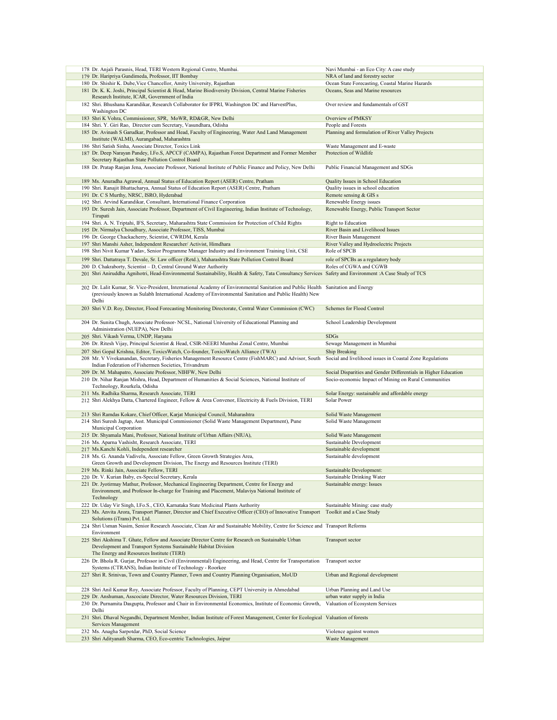|  | 178 Dr. Anjali Parasnis, Head, TERI Western Regional Centre, Mumbai.                                                                                                                                                                       | Navi Mumbai - an Eco City: A case study                         |
|--|--------------------------------------------------------------------------------------------------------------------------------------------------------------------------------------------------------------------------------------------|-----------------------------------------------------------------|
|  | 179 Dr. Haripriya Gundimeda, Professor, IIT Bombay                                                                                                                                                                                         | NRA of land and forestry sector                                 |
|  | 180 Dr. Shishir K. Dube, Vice Chancellor, Amity University, Rajasthan                                                                                                                                                                      | Ocean State Forecasting, Coastal Marine Hazards                 |
|  |                                                                                                                                                                                                                                            |                                                                 |
|  | 181 Dr. K. K. Joshi, Principal Scientist & Head, Marine Biodiversity Division, Central Marine Fisheries<br>Research Institute, ICAR, Government of India                                                                                   | Oceans, Seas and Marine resources                               |
|  | 182 Shri. Bhushana Karandikar, Research Collaborator for IFPRI, Washington DC and HarvestPlus,<br>Washington DC                                                                                                                            | Over review and fundamentals of GST                             |
|  |                                                                                                                                                                                                                                            |                                                                 |
|  | 183 Shri K Vohra, Commissioner, SPR, MoWR, RD&GR, New Delhi                                                                                                                                                                                | Overview of PMKSY                                               |
|  | 184 Shri. Y. Giri Rao, Director cum Secretary, Vasundhara, Odisha                                                                                                                                                                          | People and Forests                                              |
|  | 185 Dr. Avinash S Garudkar, Professor and Head, Faculty of Engineering, Water And Land Management                                                                                                                                          | Planning and formulation of River Valley Projects               |
|  | Institute (WALMI), Aurangabad, Maharashtra                                                                                                                                                                                                 |                                                                 |
|  | 186 Shri Satish Sinha, Associate Director, Toxics Link                                                                                                                                                                                     | Waste Management and E-waste                                    |
|  |                                                                                                                                                                                                                                            |                                                                 |
|  | 187 Dr. Deep Narayan Pandey, I.Fo.S, APCCF (CAMPA), Rajasthan Forest Department and Former Member                                                                                                                                          | Protection of Wildlife                                          |
|  | Secretary Rajasthan State Pollution Control Board                                                                                                                                                                                          |                                                                 |
|  | 188 Dr. Pratap Ranjan Jena, Associate Professor, National Institute of Public Finance and Policy, New Delhi                                                                                                                                | Public Financial Management and SDGs                            |
|  |                                                                                                                                                                                                                                            |                                                                 |
|  |                                                                                                                                                                                                                                            |                                                                 |
|  | 189 Ms. Anuradha Agrawal, Annual Status of Education Report (ASER) Centre, Pratham                                                                                                                                                         | Quality Issues in School Education                              |
|  | 190 Shri. Ranajit Bhattacharya, Annual Status of Education Report (ASER) Centre, Pratham                                                                                                                                                   | Quality issues in school education                              |
|  | 191 Dr. C S Murthy, NRSC, ISRO, Hyderabad                                                                                                                                                                                                  | Remote sensing & GIS s                                          |
|  |                                                                                                                                                                                                                                            |                                                                 |
|  | 192 Shri. Arvind Karandikar, Consultant, International Finance Corporation                                                                                                                                                                 | Renewable Energy issues                                         |
|  | 193 Dr. Suresh Jain, Associate Professor, Department of Civil Engineering, Indian Institute of Technology,                                                                                                                                 | Renewable Energy, Public Transport Sector                       |
|  | Tirupati                                                                                                                                                                                                                                   |                                                                 |
|  |                                                                                                                                                                                                                                            |                                                                 |
|  | 194 Shri. A. N. Triptahi, IFS, Secretary, Maharashtra State Commission for Protection of Child Rights                                                                                                                                      | Right to Education                                              |
|  | 195 Dr. Nirmalya Choudhury, Associate Professor, TISS, Mumbai                                                                                                                                                                              | River Basin and Livelihood Issues                               |
|  | 196 Dr. George Chackacherry, Scientist, CWRDM, Kerala                                                                                                                                                                                      | River Basin Management                                          |
|  | 197 Shri Manshi Asher, Independent Researcher/ Activist, Himdhara                                                                                                                                                                          | River Valley and Hydroelectric Projects                         |
|  |                                                                                                                                                                                                                                            |                                                                 |
|  | 198 Shri Nivit Kumar Yadav, Senior Programme Manager Industry and Environment Training Unit, CSE                                                                                                                                           | Role of SPCB                                                    |
|  | 199 Shri. Dattatraya T. Devale, Sr. Law officer (Retd.), Maharashtra State Pollution Control Board                                                                                                                                         | role of SPCBs as a regulatory body                              |
|  |                                                                                                                                                                                                                                            |                                                                 |
|  | 200 D. Chakraborty, Scientist - D, Central Ground Water Authority                                                                                                                                                                          | Roles of CGWA and CGWB                                          |
|  | 201 Shri Aniruddha Agnihotri, Head-Environmental Sustainability, Health & Safety, Tata Consultancy Services                                                                                                                                | Safety and Environment: A Case Study of TCS                     |
|  |                                                                                                                                                                                                                                            |                                                                 |
|  | 202 Dr. Lalit Kumar, Sr. Vice-President, International Academy of Environmental Sanitation and Public Health Sanitation and Energy<br>(previously known as Sulabh International Academy of Environmental Sanitation and Public Health) New |                                                                 |
|  | Delhi<br>203 Shri V.D. Roy, Director, Flood Forecasting Monitoring Directorate, Central Water Commission (CWC)                                                                                                                             | Schemes for Flood Control                                       |
|  | 204 Dr. Sunita Chugh, Associate Professor- NCSL, National University of Educational Planning and                                                                                                                                           | School Leadership Development                                   |
|  | Administration (NUEPA), New Delhi                                                                                                                                                                                                          |                                                                 |
|  | 205 Shri. Vikash Verma, UNDP, Haryana                                                                                                                                                                                                      | <b>SDGs</b>                                                     |
|  |                                                                                                                                                                                                                                            |                                                                 |
|  | 206 Dr. Ritesh Vijay, Principal Scientist & Head, CSIR-NEERI Mumbai Zonal Centre, Mumbai                                                                                                                                                   | Sewage Management in Mumbai                                     |
|  |                                                                                                                                                                                                                                            |                                                                 |
|  |                                                                                                                                                                                                                                            |                                                                 |
|  | 207 Shri Gopal Krishna, Editor, ToxicsWatch, Co-founder, ToxicsWatch Alliance (TWA)                                                                                                                                                        | Ship Breaking                                                   |
|  | 208 Mr. V Vivekanandan, Secretary, Fisheries Management Resource Centre (FishMARC) and Advisor, South                                                                                                                                      | Social and livelihood issues in Coastal Zone Regulations        |
|  | Indian Federation of Fishermen Societies, Trivandrum                                                                                                                                                                                       |                                                                 |
|  | 209 Dr. M. Mahapatro, Associate Professor, NIHFW, New Delhi                                                                                                                                                                                | Social Disparities and Gender Differentials in Higher Education |
|  |                                                                                                                                                                                                                                            |                                                                 |
|  | 210 Dr. Nihar Ranjan Mishra, Head, Department of Humanities & Social Sciences, National Institute of                                                                                                                                       | Socio-economic Impact of Mining on Rural Communities            |
|  | Technology, Rourkela, Odisha                                                                                                                                                                                                               |                                                                 |
|  | 211 Ms. Radhika Sharma, Research Associate, TERI                                                                                                                                                                                           | Solar Energy: sustainable and affordable energy                 |
|  |                                                                                                                                                                                                                                            |                                                                 |
|  | 212 Shri Alekhya Datta, Chartered Engineer, Fellow & Area Convenor, Electricity & Fuels Division, TERI                                                                                                                                     | Solar Power                                                     |
|  |                                                                                                                                                                                                                                            |                                                                 |
|  | 213 Shri Ramdas Kokare, Chief Officer, Karjat Municipal Council, Maharashtra                                                                                                                                                               | Solid Waste Management                                          |
|  |                                                                                                                                                                                                                                            |                                                                 |
|  | 214 Shri Suresh Jagtap, Asst. Municipal Commissioner (Solid Waste Management Department), Pune                                                                                                                                             | Solid Waste Management                                          |
|  | Municipal Corporation                                                                                                                                                                                                                      |                                                                 |
|  | 215 Dr. Shyamala Mani, Professor, National Institute of Urban Affairs (NIUA),                                                                                                                                                              | Solid Waste Management                                          |
|  | 216 Ms. Aparna Vashisht, Research Associate, TERI                                                                                                                                                                                          | Sustainable Development                                         |
|  | 217 Ms. Kanchi Kohli, Independent researcher                                                                                                                                                                                               | Sustainable development                                         |
|  |                                                                                                                                                                                                                                            |                                                                 |
|  | 218 Ms. G. Ananda Vadivelu, Associate Fellow, Green Growth Strategies Area,                                                                                                                                                                | Sustainable development                                         |
|  | Green Growth and Development Division, The Energy and Resources Institute (TERI)                                                                                                                                                           |                                                                 |
|  | 219 Ms. Rinki Jain, Associate Fellow, TERI                                                                                                                                                                                                 | Sustainable Development:                                        |
|  | 220 Dr. V. Kurian Baby, ex-Special Secretary, Kerala                                                                                                                                                                                       | Sustainable Drinking Water                                      |
|  |                                                                                                                                                                                                                                            |                                                                 |
|  | 221 Dr. Jyotirmay Mathur, Professor, Mechanical Engineering Department, Centre for Energy and                                                                                                                                              | Sustainable energy: Issues                                      |
|  | Environment, and Professor In-charge for Training and Placement, Malaviya National Institute of                                                                                                                                            |                                                                 |
|  | Technology                                                                                                                                                                                                                                 |                                                                 |
|  |                                                                                                                                                                                                                                            |                                                                 |
|  | 222 Dr. Uday Vir Singh, I.Fo.S., CEO, Karnataka State Medicinal Plants Authority                                                                                                                                                           | Sustainable Mining: case study                                  |
|  | 223 Ms. Anvita Arora, Transport Planner, Director and Chief Executive Officer (CEO) of Innovative Transport                                                                                                                                | Toolkit and a Case Study                                        |
|  | Solutions (iTrans) Pvt. Ltd.                                                                                                                                                                                                               |                                                                 |
|  | 224 Shri Usman Nasim, Senior Research Associate, Clean Air and Sustainable Mobility, Centre for Science and Transport Reforms                                                                                                              |                                                                 |
|  |                                                                                                                                                                                                                                            |                                                                 |
|  | Environment                                                                                                                                                                                                                                |                                                                 |
|  | 225 Shri Akshima T. Ghate, Fellow and Associate Director Centre for Research on Sustainable Urban                                                                                                                                          | Transport sector                                                |
|  | Development and Transport Systems Sustainable Habitat Division                                                                                                                                                                             |                                                                 |
|  |                                                                                                                                                                                                                                            |                                                                 |
|  | The Energy and Resources Institute (TERI)                                                                                                                                                                                                  |                                                                 |
|  | 226 Dr. Bhola R. Gurjar, Professor in Civil (Environmental) Engineering, and Head, Centre for Transportation                                                                                                                               | Transport sector                                                |
|  | Systems (CTRANS), Indian Institute of Technology - Roorkee                                                                                                                                                                                 |                                                                 |
|  |                                                                                                                                                                                                                                            |                                                                 |
|  | 227 Shri R. Srinivas, Town and Country Planner, Town and Country Planning Organisation, MoUD                                                                                                                                               | Urban and Regional development                                  |
|  |                                                                                                                                                                                                                                            |                                                                 |
|  | 228 Shri Anil Kumar Roy, Associate Professor, Faculty of Planning, CEPT University in Ahmedabad                                                                                                                                            | Urban Planning and Land Use                                     |
|  |                                                                                                                                                                                                                                            |                                                                 |
|  | 229 Dr. Anshuman, Asscociate Director, Water Resources Division, TERI                                                                                                                                                                      | urban water supply in India                                     |
|  | 230 Dr. Purnamita Dasgupta, Professor and Chair in Environmental Economics, Institute of Economic Growth,                                                                                                                                  | Valuation of Ecosystem Services                                 |
|  | Delhi                                                                                                                                                                                                                                      |                                                                 |
|  |                                                                                                                                                                                                                                            | Valuation of forests                                            |
|  | 231 Shri. Dhaval Negandhi, Department Member, Indian Institute of Forest Management, Center for Ecological                                                                                                                                 |                                                                 |
|  | Services Management                                                                                                                                                                                                                        |                                                                 |
|  | 232 Ms. Anagha Sarpotdar, PhD, Social Science                                                                                                                                                                                              | Violence against women                                          |
|  | 233 Shri Adityanath Sharma, CEO, Eco-centric Tachnologies, Jaipur                                                                                                                                                                          | Waste Management                                                |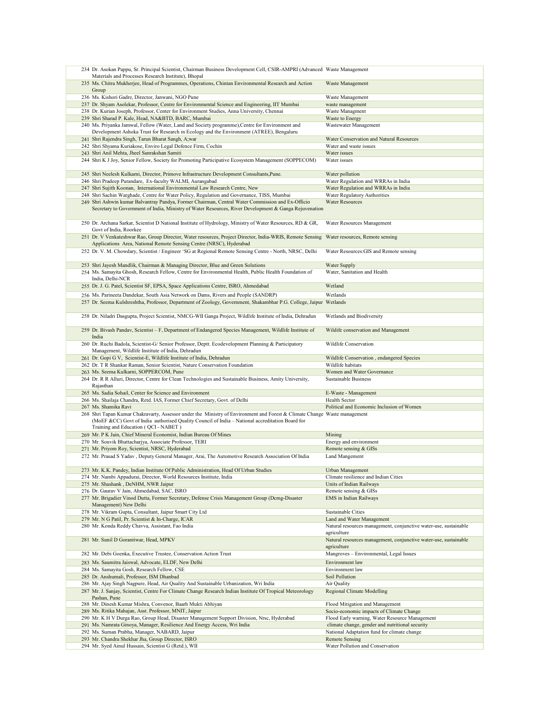|  | 234 Dr. Asokan Pappu, Sr. Principal Scientist, Chairman Business Development Cell, CSIR-AMPRI (Advanced Waste Management<br>Materials and Processes Research Institute), Bhopal                            |                                                                                 |
|--|------------------------------------------------------------------------------------------------------------------------------------------------------------------------------------------------------------|---------------------------------------------------------------------------------|
|  | 235 Ms. Chitra Mukherjee, Head of Programmes, Operations, Chintan Environmental Research and Action                                                                                                        | Waste Management                                                                |
|  | Group                                                                                                                                                                                                      |                                                                                 |
|  | 236 Ms. Kishori Gadre, Director, Janwani, NGO Pune                                                                                                                                                         | Waste Management                                                                |
|  | 237 Dr. Shyam Asolekar, Professor, Centre for Environmental Science and Engineering, IIT Mumbai                                                                                                            | waste management                                                                |
|  | 238 Dr. Kurian Joseph, Professor, Center for Environment Studies, Anna University, Chennai                                                                                                                 | Waste Managment                                                                 |
|  | 239 Shri Sharad P. Kale, Head, NA&BTD, BARC, Mumbai<br>240 Ms. Priyanka Jamwal, Fellow (Water, Land and Society programme), Centre for Environment and                                                     | Waste to Energy<br>Wastewater Management                                        |
|  | Development Ashoka Trust for Research in Ecology and the Environment (ATREE), Bengaluru                                                                                                                    |                                                                                 |
|  | 241 Shri Rajendra Singh, Tarun Bharat Sangh, A;war                                                                                                                                                         | Water Conservation and Natural Resources                                        |
|  | 242 Shri Shyama Kuriakose, Enviro Legal Defence Firm, Cochin                                                                                                                                               | Water and waste issues                                                          |
|  | 243 Shri Anil Mehta, Jheel Sanrakshan Samiti                                                                                                                                                               | Water issues                                                                    |
|  | 244 Shri K J Joy, Senior Fellow, Society for Promoting Participative Ecosystem Management (SOPPECOM)                                                                                                       | Water issues                                                                    |
|  | 245 Shri Neelesh Kulkarni, Director, Primove Infrastructure Development Consultants, Pune.                                                                                                                 | Water pollution                                                                 |
|  | 246 Shri Pradeep Purandare, Ex-faculty WALMI, Aurangabad                                                                                                                                                   | Water Regulation and WRRAs in India                                             |
|  | 247 Shri Sujith Koonan, International Environmental Law Research Centre, New                                                                                                                               | Water Regulation and WRRAs in India                                             |
|  | 248 Shri Sachin Warghade, Centre for Water Policy, Regulation and Governance, TISS, Mumbai                                                                                                                 | Water Regulatory Authorities                                                    |
|  | 249 Shri Ashwin kumar Balvantray Pandya, Former Chairman, Central Water Commission and Ex-Officio<br>Secretary to Government of India, Ministry of Water Resources, River Development & Ganga Rejuvenation | <b>Water Resources</b>                                                          |
|  | 250 Dr. Archana Sarkar, Scientist D National Institute of Hydrology, Ministry of Water Resources, RD & GR,<br>Govt of India, Roorkee                                                                       | Water Resources Management                                                      |
|  | 251 Dr. V Venkateshwar Rao, Group Director, Water resources, Project Director, India-WRIS, Remote Sensing<br>Applications Area, National Remote Sensing Centre (NRSC), Hyderabad                           | Water resources, Remote sensing                                                 |
|  | 252 Dr. V. M. Chowdary, Scientist / Engineer 'SG at Regional Remote Sensing Centre - North, NRSC, Delhi                                                                                                    | Water Resources: GIS and Remote sensing                                         |
|  |                                                                                                                                                                                                            |                                                                                 |
|  | 253 Shri Jayesh Mandlik, Chairman & Managing Director, Blue and Green Solutions                                                                                                                            | Water Supply                                                                    |
|  | 254 Ms. Samayita Ghosh, Research Fellow, Centre for Environmental Health, Public Health Foundation of<br>India, Delhi-NCR                                                                                  | Water, Sanitation and Health                                                    |
|  | 255 Dr. J. G. Patel, Scientist SF, EPSA, Space Applications Centre, ISRO, Ahmedabad                                                                                                                        | Wetland                                                                         |
|  | 256 Ms. Parineeta Dandekar, South Asia Network on Dams, Rivers and People (SANDRP)                                                                                                                         | Wetlands                                                                        |
|  | 257 Dr. Seema Kulshreshtha, Professor, Department of Zoology, Government, Shakambhar P.G. College, Jaipur Wetlands                                                                                         |                                                                                 |
|  |                                                                                                                                                                                                            |                                                                                 |
|  | 258 Dr. Niladri Dasgupta, Project Scientist, NMCG-WII Ganga Project, Wildlife Institute of India, Dehradun                                                                                                 | Wetlands and Biodiversity                                                       |
|  | 259 Dr. Bivash Pandav, Scientist - F, Department of Endangered Species Management, Wildlife Institute of<br>India                                                                                          | Wildife conservation and Management                                             |
|  | 260 Dr. Ruchi Badola, Scientist-G/ Senior Professor, Deptt. Ecodevelopment Planning & Participatory<br>Management, Wildlife Institute of India, Dehradun                                                   | Wildlife Conservation                                                           |
|  | 261 Dr. Gopi G V, Scientist-E, Wildlife Institute of India, Dehradun                                                                                                                                       | Wildlife Conservation, endangered Species                                       |
|  | 262 Dr. T R Shankar Raman, Senior Scientist, Nature Conservation Foundation                                                                                                                                | Wildlife habitats                                                               |
|  | 263 Ms. Seema Kulkarni, SOPPERCOM, Pune                                                                                                                                                                    | Women and Water Governance                                                      |
|  | 264 Dr. R R Alluri, Director, Centre for Clean Technologies and Sustainable Business, Amity University,<br>Rajasthan                                                                                       | Sustainable Business                                                            |
|  | 265 Ms. Sadia Sohail, Center for Science and Environment                                                                                                                                                   | E-Waste - Management                                                            |
|  | 266 Ms. Shailaja Chandra, Retd. IAS, Former Chief Secretary, Govt. of Delhi                                                                                                                                | Health Sector                                                                   |
|  | 267 Ms. Shamika Ravi                                                                                                                                                                                       | Political and Economic Inclusion of Women                                       |
|  | 268 Shri Tapan Kumar Chakravarty, Assessor under the Ministry of Environment and Forest & Climate Change                                                                                                   | Waste management                                                                |
|  | (MoEF &CC) Govt of India authorised Quality Council of India - National accreditation Board for<br>Training and Education (QCI - NABET)                                                                    |                                                                                 |
|  | 269 Mr. P K Jain, Chief Mineral Economist, Indian Bureau Of Mines                                                                                                                                          | Mining                                                                          |
|  | 270 Mr. Souvik Bhattacharjya, Associate Professor, TERI                                                                                                                                                    | Energy and environment                                                          |
|  | 271 Mr. Priyom Roy, Scientist, NRSC, Hyderabad                                                                                                                                                             | Remote sensing & GISs                                                           |
|  | 272 Mr. Prasad S Yadav, Deputy General Manager, Arai, The Automotive Research Association Of India                                                                                                         | Land Mangement                                                                  |
|  | 273 Mr. K.K. Pandey, Indian Institute Of Public Administration, Head Of Urban Studies                                                                                                                      | Urban Management                                                                |
|  | 274 Mr. Nambi Appadurai, Director, World Resources Institute, India                                                                                                                                        | Climate resilience and Indian Cities                                            |
|  | 275 Mr. Shashank, DeNHM, NWR Jaipur                                                                                                                                                                        | Units of Indian Railways                                                        |
|  | 276 Dr. Gaurav V Jain, Ahmedabad, SAC, ISRO                                                                                                                                                                | Remote sensing & GISs                                                           |
|  | 277 Mr. Brigadier Vinod Dutta, Former Secretary, Defense Crisis Management Group (Dcmg-Disaster<br>Management) New Delhi                                                                                   | EMS in Indian Railways                                                          |
|  | 278 Mr. Vikram Gupta, Consultant, Jaipur Smart City Ltd                                                                                                                                                    | Sustainable Cities                                                              |
|  | 279 Mr. N G Patil, Pr. Scientist & In-Charge, ICAR                                                                                                                                                         | Land and Water Management                                                       |
|  | 280 Mr. Konda Reddy Chavva, Assistant, Fao India                                                                                                                                                           | Natural resources management, conjunctive water-use, sustainable                |
|  |                                                                                                                                                                                                            | agriculture                                                                     |
|  | 281 Mr. Sunil D Gorantiwar, Head, MPKV                                                                                                                                                                     | Natural resources management, conjunctive water-use, sustainable<br>agriculture |
|  | 282 Mr. Debi Goenka, Executive Trustee, Conservation Action Trust                                                                                                                                          | Mangroves - Environmental, Legal Issues                                         |
|  | 283 Ms. Saumitra Jaiswal, Advocate, ELDF, New Delhi                                                                                                                                                        | Environment law                                                                 |
|  | 284 Ms. Samayita Gosh, Research Fellow, CSE                                                                                                                                                                | Environment law                                                                 |
|  | 285 Dr. Anshumali, Professor, ISM Dhanbad                                                                                                                                                                  | Soil Pollution                                                                  |
|  |                                                                                                                                                                                                            |                                                                                 |
|  | 286 Mr. Ajay Singh Nagpure, Head, Air Quality And Sustainable Urbanization, Wri India                                                                                                                      | Air Quality                                                                     |
|  | 287 Mr. J. Sanjay, Scientist, Centre For Climate Change Research Indian Institute Of Tropical Meteorology<br>Pashan, Pune                                                                                  | <b>Regional Climate Modelling</b>                                               |
|  | 288 Mr. Dinesh Kumar Mishra, Convenor, Baarh Mukti Abhiyan                                                                                                                                                 | Flood Mitigation and Management                                                 |
|  | 289 Ms. Ritika Mahajan, Asst. Professor, MNIT, Jaipur                                                                                                                                                      | Socio-economic impacts of Climate Change                                        |
|  | 290 Mr. K H V Durga Rao, Group Head, Disaster Management Support Division, Nrsc, Hyderabad                                                                                                                 | Flood Early warning, Water Resource Management                                  |
|  | 291 Ms. Namrata Ginoya, Manager, Resilience And Energy Access, Wri India                                                                                                                                   | climate change, gender and nutritional security                                 |
|  | 292 Ms. Suman Prabha, Manager, NABARD, Jaipur<br>293 Mr. Chandra Shekhar Jha, Group Director, ISRO                                                                                                         | National Adaptation fund for climate change<br><b>Remote Sensing</b>            |
|  | 294 Mr. Syed Ainul Hussain, Scientist G (Retd.), WII                                                                                                                                                       | Water Pollution and Conservation                                                |